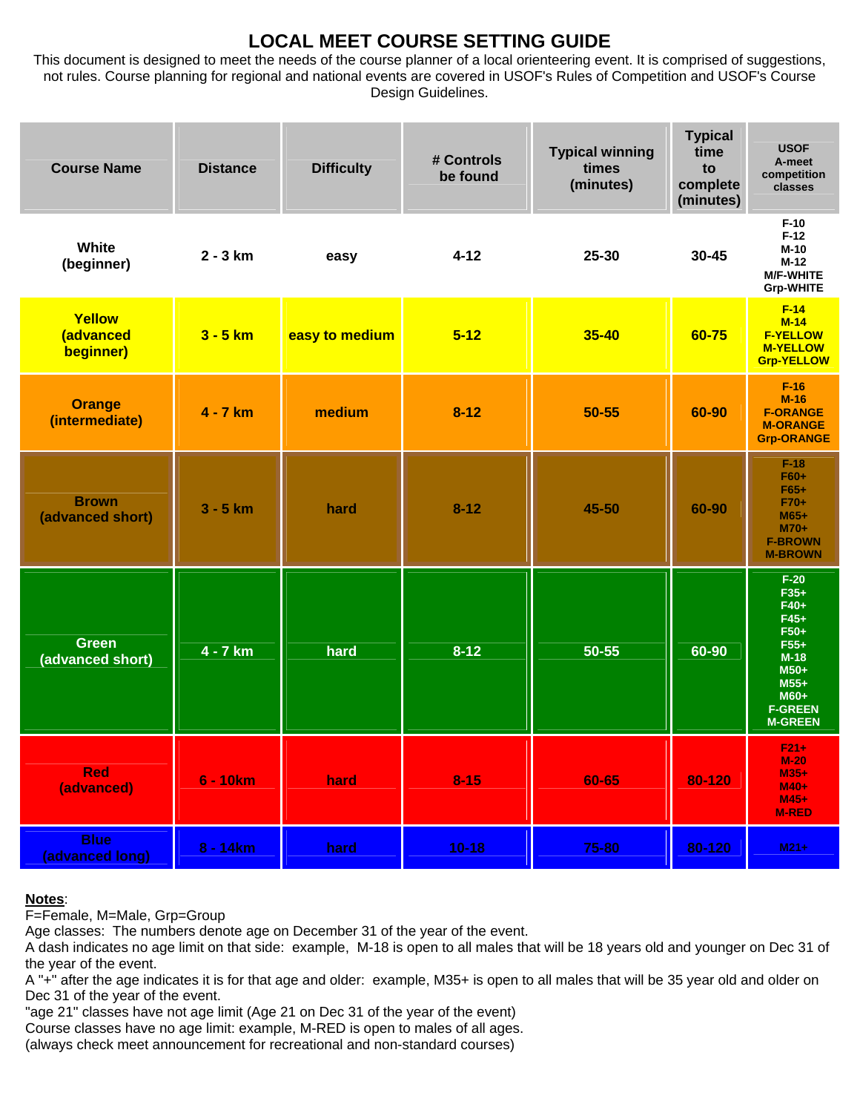# **LOCAL MEET COURSE SETTING GUIDE**

This document is designed to meet the needs of the course planner of a local orienteering event. It is comprised of suggestions, not rules. Course planning for regional and national events are covered in USOF's Rules of Competition and USOF's Course Design Guidelines.

| <b>Course Name</b>               | <b>Distance</b> | <b>Difficulty</b> | # Controls<br>be found | <b>Typical winning</b><br>times<br>(minutes) | <b>Typical</b><br>time<br>to<br>complete<br>(minutes) | <b>USOF</b><br>A-meet<br>competition<br>classes                                                                                |
|----------------------------------|-----------------|-------------------|------------------------|----------------------------------------------|-------------------------------------------------------|--------------------------------------------------------------------------------------------------------------------------------|
| White<br>(beginner)              | $2 - 3 km$      | easy              | $4 - 12$               | 25-30                                        | $30 - 45$                                             | $F-10$<br>$F-12$<br>$M-10$<br>$M-12$<br><b>M/F-WHITE</b><br><b>Grp-WHITE</b>                                                   |
| Yellow<br>(advanced<br>beginner) | $3 - 5$ km      | easy to medium    | $5 - 12$               | 35-40                                        | 60-75                                                 | $F-14$<br>$M-14$<br><b>F-YELLOW</b><br><b>M-YELLOW</b><br><b>Grp-YELLOW</b>                                                    |
| <b>Orange</b><br>(intermediate)  | 4 - 7 km        | medium            | $8 - 12$               | 50-55                                        | 60-90                                                 | $F-16$<br>$M-16$<br><b>F-ORANGE</b><br><b>M-ORANGE</b><br><b>Grp-ORANGE</b>                                                    |
| <b>Brown</b><br>(advanced short) | $3 - 5$ km      | hard              | $8 - 12$               | 45-50                                        | 60-90                                                 | $F-18$<br>F60+<br>$F65+$<br>F70+<br>$M65+$<br>$M70+$<br><b>F-BROWN</b><br><b>M-BROWN</b>                                       |
| <b>Green</b><br>(advanced short) | $4 - 7$ km      | hard              | $8 - 12$               | 50-55                                        | 60-90                                                 | $F-20$<br>$F35+$<br>F40+<br>$F45+$<br>F50+<br>$F55+$<br>$M-18$<br>$M50+$<br>$M55+$<br>M60+<br><b>F-GREEN</b><br><b>M-GREEN</b> |
| <b>Red</b><br>(advanced)         | $6 - 10km$      | hard              | $8 - 15$               | 60-65                                        | 80-120                                                | $F21+$<br>$M-20$<br>$M35+$<br>$M40+$<br>$M45+$<br><b>M-RED</b>                                                                 |
| <b>Blue</b><br>(advanced long)   | $8 - 14km$      | hard              | $10 - 18$              | 75-80                                        | 80-120                                                | $M21+$                                                                                                                         |

#### **Notes**:

F=Female, M=Male, Grp=Group

Age classes: The numbers denote age on December 31 of the year of the event.

A dash indicates no age limit on that side: example, M-18 is open to all males that will be 18 years old and younger on Dec 31 of the year of the event.

A "+" after the age indicates it is for that age and older: example, M35+ is open to all males that will be 35 year old and older on Dec 31 of the year of the event.

"age 21" classes have not age limit (Age 21 on Dec 31 of the year of the event)

Course classes have no age limit: example, M-RED is open to males of all ages.

(always check meet announcement for recreational and non-standard courses)